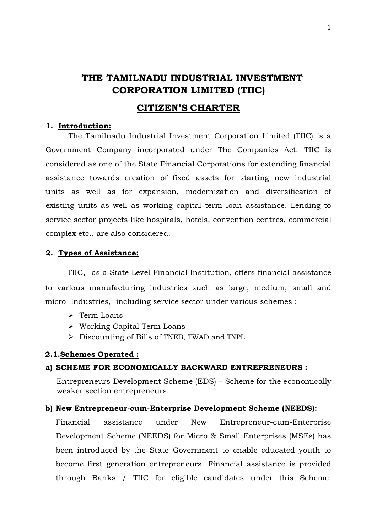# **THE TAMILNADU INDUSTRIAL INVESTMENT CORPORATION LIMITED (TIIC)**

## **CITIZEN'S CHARTER**

#### **1. Introduction:**

The Tamilnadu Industrial Investment Corporation Limited (TIIC) is a Government Company incorporated under The Companies Act. TIIC is considered as one of the State Financial Corporations for extending financial assistance towards creation of fixed assets for starting new industrial units as well as for expansion, modernization and diversification of existing units as well as working capital term loan assistance. Lending to service sector projects like hospitals, hotels, convention centres, commercial complex etc., are also considered.

#### **2. Types of Assistance:**

TIIC, as a State Level Financial Institution, offers financial assistance to various manufacturing industries such as large, medium, small and micro Industries, including service sector under various schemes :

- $\triangleright$  Term Loans
- Working Capital Term Loans
- Discounting of Bills of TNEB, TWAD and TNPL

#### **2.1.Schemes Operated :**

#### **a) SCHEME FOR ECONOMICALLY BACKWARD ENTREPRENEURS :**

Entrepreneurs Development Scheme (EDS) – Scheme for the economically weaker section entrepreneurs.

#### **b) New Entrepreneur-cum-Enterprise Development Scheme (NEEDS):**

Financial assistance under New Entrepreneur-cum-Enterprise Development Scheme (NEEDS) for Micro & Small Enterprises (MSEs) has been introduced by the State Government to enable educated youth to become first generation entrepreneurs. Financial assistance is provided through Banks / TIIC for eligible candidates under this Scheme.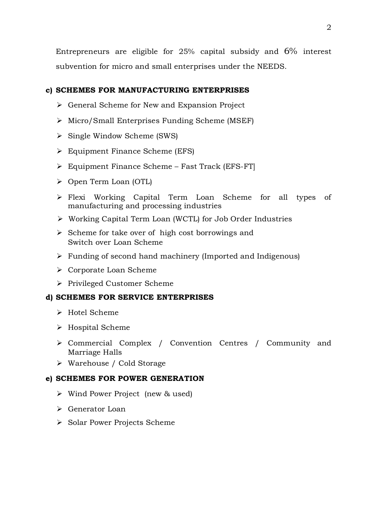Entrepreneurs are eligible for 25% capital subsidy and 6% interest subvention for micro and small enterprises under the NEEDS.

## **c) SCHEMES FOR MANUFACTURING ENTERPRISES**

- $\triangleright$  General Scheme for New and Expansion Project
- Micro/Small Enterprises Funding Scheme (MSEF)
- $\triangleright$  Single Window Scheme (SWS)
- Equipment Finance Scheme (EFS)
- Equipment Finance Scheme Fast Track (EFS-FT]
- Open Term Loan (OTL)
- Flexi Working Capital Term Loan Scheme for all types of manufacturing and processing industries
- Working Capital Term Loan (WCTL) for Job Order Industries
- $\triangleright$  Scheme for take over of high cost borrowings and Switch over Loan Scheme
- $\triangleright$  Funding of second hand machinery (Imported and Indigenous)
- Corporate Loan Scheme
- Privileged Customer Scheme

## **d) SCHEMES FOR SERVICE ENTERPRISES**

- > Hotel Scheme
- $\triangleright$  Hospital Scheme
- Commercial Complex / Convention Centres / Community and Marriage Halls
- Warehouse / Cold Storage

## **e) SCHEMES FOR POWER GENERATION**

- Wind Power Project (new & used)
- Generator Loan
- Solar Power Projects Scheme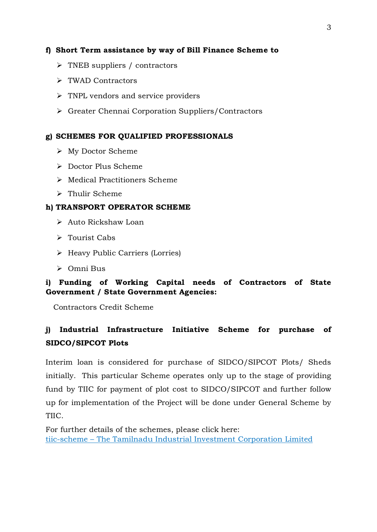## **f) Short Term assistance by way of Bill Finance Scheme to**

- $\triangleright$  TNEB suppliers / contractors
- TWAD Contractors
- $\triangleright$  TNPL vendors and service providers
- Greater Chennai Corporation Suppliers/Contractors

## **g) SCHEMES FOR QUALIFIED PROFESSIONALS**

- My Doctor Scheme
- Doctor Plus Scheme
- Medical Practitioners Scheme
- > Thulir Scheme

## **h) TRANSPORT OPERATOR SCHEME**

- ▶ Auto Rickshaw Loan
- Tourist Cabs
- Heavy Public Carriers (Lorries)
- Omni Bus

## **i) Funding of Working Capital needs of Contractors of State Government / State Government Agencies:**

Contractors Credit Scheme

## **j) Industrial Infrastructure Initiative Scheme for purchase of SIDCO/SIPCOT Plots**

Interim loan is considered for purchase of SIDCO/SIPCOT Plots/ Sheds initially. This particular Scheme operates only up to the stage of providing fund by TIIC for payment of plot cost to SIDCO/SIPCOT and further follow up for implementation of the Project will be done under General Scheme by TIIC.

For further details of the schemes, please click here: tiic-scheme – The Tamilnadu [Industrial Investment Corporation Limited](https://www.tiic.org/tiic-scheme/)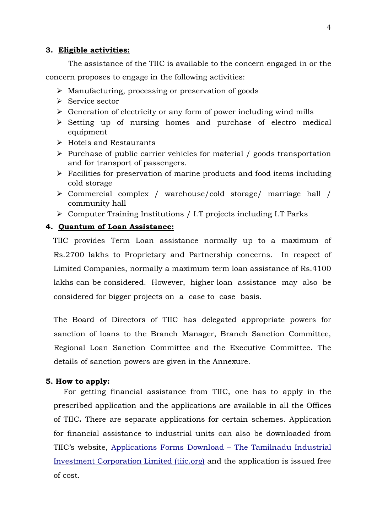#### **3. Eligible activities:**

The assistance of the TIIC is available to the concern engaged in or the concern proposes to engage in the following activities:

- Manufacturing, processing or preservation of goods
- $\triangleright$  Service sector
- $\triangleright$  Generation of electricity or any form of power including wind mills
- $\triangleright$  Setting up of nursing homes and purchase of electro medical equipment
- $\triangleright$  Hotels and Restaurants
- $\triangleright$  Purchase of public carrier vehicles for material / goods transportation and for transport of passengers.
- $\triangleright$  Facilities for preservation of marine products and food items including cold storage
- Commercial complex / warehouse/cold storage/ marriage hall / community hall
- Computer Training Institutions / I.T projects including I.T Parks

#### **4. Quantum of Loan Assistance:**

 TIIC provides Term Loan assistance normally up to a maximum of Rs.2700 lakhs to Proprietary and Partnership concerns. In respect of Limited Companies, normally a maximum term loan assistance of Rs.4100 lakhs can be considered. However, higher loan assistance may also be considered for bigger projects on a case to case basis.

The Board of Directors of TIIC has delegated appropriate powers for sanction of loans to the Branch Manager, Branch Sanction Committee, Regional Loan Sanction Committee and the Executive Committee. The details of sanction powers are given in the Annexure.

#### **5. How to apply:**

For getting financial assistance from TIIC, one has to apply in the prescribed application and the applications are available in all the Offices of TIIC**.** There are separate applications for certain schemes. Application for financial assistance to industrial units can also be downloaded from TIIC's website, [Applications Forms Download –](https://www.tiic.org/application-forms-download) The Tamilnadu Industrial [Investment Corporation Limited \(tiic.org\)](https://www.tiic.org/application-forms-download) and the application is issued free of cost.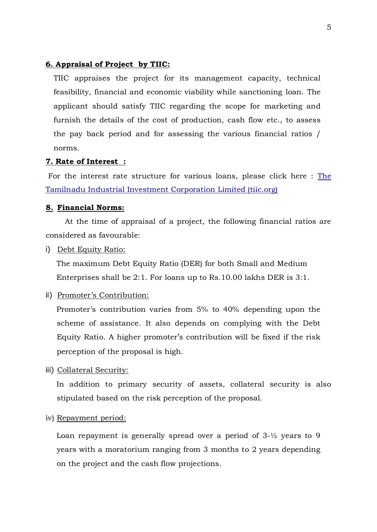### **6. Appraisal of Project by TIIC:**

TIIC appraises the project for its management capacity, technical feasibility, financial and economic viability while sanctioning loan. The applicant should satisfy TIIC regarding the scope for marketing and furnish the details of the cost of production, cash flow etc., to assess the pay back period and for assessing the various financial ratios / norms.

#### **7. Rate of Interest :**

For the interest rate structure for various loans, please click here : [The](https://www.tiic.org/wp-content/uploads/2019/08/interest_rate.pdf)  Tamilnadu [Industrial Investment Corporation Limited \(tiic.org\)](https://www.tiic.org/wp-content/uploads/2019/08/interest_rate.pdf)

#### **8. Financial Norms:**

 At the time of appraisal of a project, the following financial ratios are considered as favourable:

i) Debt Equity Ratio:

The maximum Debt Equity Ratio (DER) for both Small and Medium Enterprises shall be 2:1. For loans up to Rs.10.00 lakhs DER is 3:1.

ii) Promoter's Contribution:

Promoter's contribution varies from 5% to 40% depending upon the scheme of assistance. It also depends on complying with the Debt Equity Ratio. A higher promoter's contribution will be fixed if the risk perception of the proposal is high.

iii) Collateral Security:

In addition to primary security of assets, collateral security is also stipulated based on the risk perception of the proposal.

iv) Repayment period:

Loan repayment is generally spread over a period of 3-½ years to 9 years with a moratorium ranging from 3 months to 2 years depending on the project and the cash flow projections.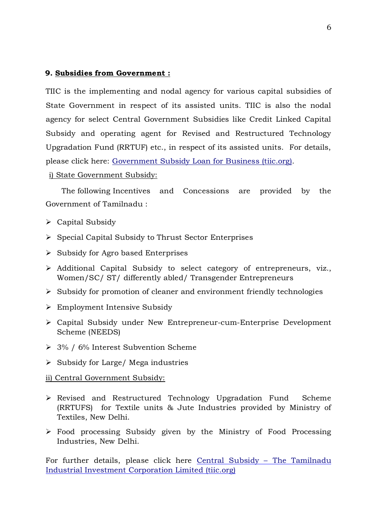#### **9. Subsidies from Government :**

TIIC is the implementing and nodal agency for various capital subsidies of State Government in respect of its assisted units. TIIC is also the nodal agency for select Central Government Subsidies like Credit Linked Capital Subsidy and operating agent for Revised and Restructured Technology Upgradation Fund (RRTUF) etc., in respect of its assisted units. For details, please click here: [Government Subsidy Loan for Business \(tiic.org\).](https://www.tiic.org/state-government-subsidies-incentives)

i) State Government Subsidy:

The following Incentives and Concessions are provided by the Government of Tamilnadu :

- $\triangleright$  Capital Subsidy
- $\triangleright$  Special Capital Subsidy to Thrust Sector Enterprises
- $\triangleright$  Subsidy for Agro based Enterprises
- $\triangleright$  Additional Capital Subsidy to select category of entrepreneurs, viz., Women/SC/ ST/ differently abled/ Transgender Entrepreneurs
- $\triangleright$  Subsidy for promotion of cleaner and environment friendly technologies
- Employment Intensive Subsidy
- Capital Subsidy under New Entrepreneur-cum-Enterprise Development Scheme (NEEDS)
- 3% / 6% Interest Subvention Scheme
- $\triangleright$  Subsidy for Large/ Mega industries

#### ii) Central Government Subsidy:

- Revised and Restructured Technology Upgradation Fund Scheme (RRTUFS) for Textile units & Jute Industries provided by Ministry of Textiles, New Delhi.
- Food processing Subsidy given by the Ministry of Food Processing Industries, New Delhi.

For further details, please click here [Central Subsidy](https://www.tiic.org/central-subsidy) – The Tamilnadu [Industrial Investment Corporation Limited \(tiic.org\)](https://www.tiic.org/central-subsidy)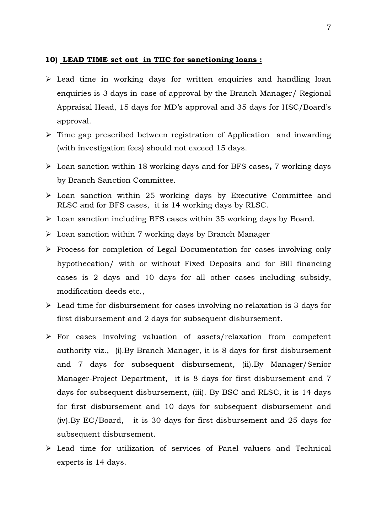#### **10) LEAD TIME set out in TIIC for sanctioning loans :**

- $\triangleright$  Lead time in working days for written enquiries and handling loan enquiries is 3 days in case of approval by the Branch Manager/ Regional Appraisal Head, 15 days for MD's approval and 35 days for HSC/Board's approval.
- $\triangleright$  Time gap prescribed between registration of Application and inwarding (with investigation fees) should not exceed 15 days.
- Loan sanction within 18 working days and for BFS cases**,** 7 working days by Branch Sanction Committee.
- $\triangleright$  Loan sanction within 25 working days by Executive Committee and RLSC and for BFS cases, it is 14 working days by RLSC.
- Loan sanction including BFS cases within 35 working days by Board.
- $\triangleright$  Loan sanction within 7 working days by Branch Manager
- $\triangleright$  Process for completion of Legal Documentation for cases involving only hypothecation/ with or without Fixed Deposits and for Bill financing cases is 2 days and 10 days for all other cases including subsidy, modification deeds etc.,
- Lead time for disbursement for cases involving no relaxation is 3 days for first disbursement and 2 days for subsequent disbursement.
- $\triangleright$  For cases involving valuation of assets/relaxation from competent authority viz., (i).By Branch Manager, it is 8 days for first disbursement and 7 days for subsequent disbursement, (ii).By Manager/Senior Manager-Project Department, it is 8 days for first disbursement and 7 days for subsequent disbursement, (iii). By BSC and RLSC, it is 14 days for first disbursement and 10 days for subsequent disbursement and (iv).By EC/Board, it is 30 days for first disbursement and 25 days for subsequent disbursement.
- Lead time for utilization of services of Panel valuers and Technical experts is 14 days.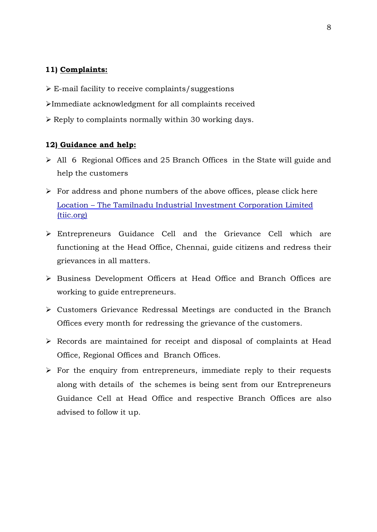#### **11) Complaints:**

- $\triangleright$  E-mail facility to receive complaints/suggestions
- Immediate acknowledgment for all complaints received
- $\triangleright$  Reply to complaints normally within 30 working days.

#### **12) Guidance and help:**

- All 6 Regional Offices and 25 Branch Offices in the State will guide and help the customers
- $\triangleright$  For address and phone numbers of the above offices, please click here Location – The Tamilnadu [Industrial Investment Corporation Limited](https://www.tiic.org/location/)  [\(tiic.org\)](https://www.tiic.org/location/)
- Entrepreneurs Guidance Cell and the Grievance Cell which are functioning at the Head Office, Chennai, guide citizens and redress their grievances in all matters.
- Business Development Officers at Head Office and Branch Offices are working to guide entrepreneurs.
- Customers Grievance Redressal Meetings are conducted in the Branch Offices every month for redressing the grievance of the customers.
- $\triangleright$  Records are maintained for receipt and disposal of complaints at Head Office, Regional Offices and Branch Offices.
- $\triangleright$  For the enquiry from entrepreneurs, immediate reply to their requests along with details of the schemes is being sent from our Entrepreneurs Guidance Cell at Head Office and respective Branch Offices are also advised to follow it up.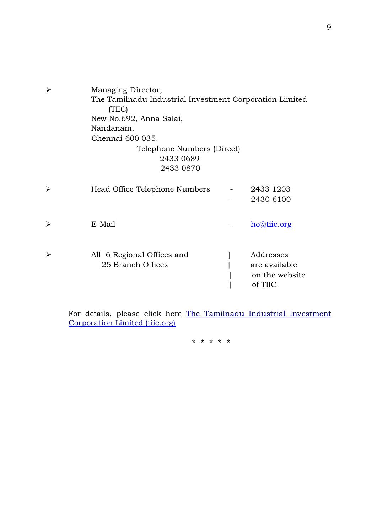| ≻                     | Managing Director,<br>The Tamilnadu Industrial Investment Corporation Limited<br>(TIIC)<br>New No.692, Anna Salai,<br>Nandanam,<br>Chennai 600 035.<br>Telephone Numbers (Direct)<br>2433 0689<br>2433 0870 |                                                         |
|-----------------------|-------------------------------------------------------------------------------------------------------------------------------------------------------------------------------------------------------------|---------------------------------------------------------|
| ➤                     | Head Office Telephone Numbers                                                                                                                                                                               | 2433 1203<br>2430 6100                                  |
| ➤                     | E-Mail                                                                                                                                                                                                      | ho@tiic.org                                             |
| $\blacktriangleright$ | All 6 Regional Offices and<br>25 Branch Offices                                                                                                                                                             | Addresses<br>are available<br>on the website<br>of TIIC |

For details, please click here The Tamilnadu [Industrial Investment](https://www.tiic.org/location/)  [Corporation Limited \(tiic.org\)](https://www.tiic.org/location/)

**\* \* \* \* \***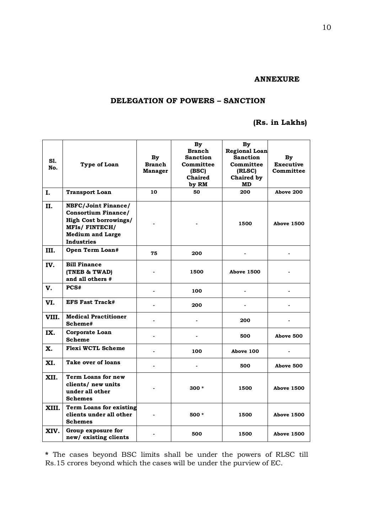#### **ANNEXURE**

#### **DELEGATION OF POWERS – SANCTION**

## **(Rs. in Lakhs)**

| S1.<br>No. | Type of Loan                                                                                                                                              | By<br><b>Branch</b><br>Manager | <b>By</b><br><b>Branch</b><br><b>Sanction</b><br>Committee<br>(BSC)<br>Chaired<br>by RM | By<br><b>Regional Loan</b><br><b>Sanction</b><br>Committee<br>(RLSC)<br>Chaired by<br>MD | By<br><b>Executive</b><br>Committee |
|------------|-----------------------------------------------------------------------------------------------------------------------------------------------------------|--------------------------------|-----------------------------------------------------------------------------------------|------------------------------------------------------------------------------------------|-------------------------------------|
| I.         | <b>Transport Loan</b>                                                                                                                                     | 10                             | 50                                                                                      | 200                                                                                      | Above 200                           |
| II.        | <b>NBFC/Joint Finance/</b><br><b>Consortium Finance/</b><br><b>High Cost borrowings/</b><br><b>MFIs/FINTECH/</b><br><b>Medium and Large</b><br>Industries |                                |                                                                                         | 1500                                                                                     | <b>Above 1500</b>                   |
| III.       | Open Term Loan#                                                                                                                                           | 75                             | 200                                                                                     |                                                                                          |                                     |
| IV.        | <b>Bill Finance</b><br>(TNEB & TWAD)<br>and all others #                                                                                                  |                                | 1500                                                                                    | <b>Above 1500</b>                                                                        |                                     |
| V.         | PCS#                                                                                                                                                      |                                | 100                                                                                     |                                                                                          |                                     |
| VI.        | <b>EFS Fast Track#</b>                                                                                                                                    |                                | 200                                                                                     |                                                                                          |                                     |
| VIII.      | <b>Medical Practitioner</b><br>Scheme#                                                                                                                    |                                |                                                                                         | 200                                                                                      |                                     |
| IX.        | Corporate Loan<br><b>Scheme</b>                                                                                                                           | $\overline{a}$                 | $\overline{\phantom{0}}$                                                                | 500                                                                                      | Above 500                           |
| Х.         | Flexi WCTL Scheme                                                                                                                                         | $\overline{a}$                 | 100                                                                                     | Above 100                                                                                |                                     |
| XI.        | Take over of loans                                                                                                                                        |                                |                                                                                         | 500                                                                                      | Above 500                           |
| XII.       | Term Loans for new<br>clients/ new units<br>under all other<br><b>Schemes</b>                                                                             |                                | $300 *$                                                                                 | 1500                                                                                     | <b>Above 1500</b>                   |
| XIII.      | <b>Term Loans for existing</b><br>clients under all other<br><b>Schemes</b>                                                                               |                                | 500 *                                                                                   | 1500                                                                                     | <b>Above 1500</b>                   |
| XIV.       | Group exposure for<br>new/ existing clients                                                                                                               |                                | 500                                                                                     | 1500                                                                                     | <b>Above 1500</b>                   |

**\*** The cases beyond BSC limits shall be under the powers of RLSC till Rs.15 crores beyond which the cases will be under the purview of EC.